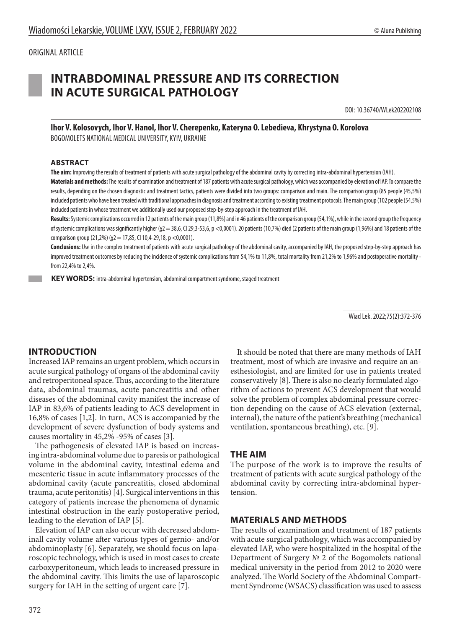#### ORIGINAL ARTICLE

# **INTRABDOMINAL PRESSURE AND ITS CORRECTION IN ACUTE SURGICAL PATHOLOGY**

DOI: 10.36740/WLek202202108

**Ihor V. Kolosovych, Ihor V. Hanol, Ihor V. Cherepenko, Kateryna O. Lebedieva, Khrystyna O. Korolova** BOGOMOLETS NATIONAL MEDICAL UNIVERSITY, KYIV, UKRAINE

#### **ABSTRACT**

**The aim:** Improving the results of treatment of patients with acute surgical pathology of the abdominal cavity by correcting intra-abdominal hypertension (IAH).

**Materials andmethods:** The results of examination and treatment of 187 patients with acute surgical pathology, which was accompanied by elevation of IAP. To compare the results, depending on the chosen diagnostic and treatment tactics, patients were divided into two groups: comparison and main.The comparison group (85 people (45,5%) included patients who have been treated with traditional approaches in diagnosis and treatment according to existing treatment protocols. The main group (102 people (54,5%) included patients in whose treatment we additionally used our proposed step-by-step approach in the treatment of IAH.

**Results:** Systemic complications occurred in 12 patients of the main group (11,8%) and in 46 patients of the comparison group (54,1%), while in the second group the frequency of systemic complications was significantly higher (χ2 = 38,6, CI 29,3-53,6, p <0,0001). 20 patients (10,7%) died (2 patients of the main group (1,96%) and 18 patients of the comparison group (21,2%) (χ2 = 17,85, CI 10,4-29,18, p <0,0001).

**Conclusions:** Use in the complex treatment of patients with acute surgical pathology of the abdominal cavity, accompanied by IAH, the proposed step-by-step approach has improved treatment outcomes by reducing the incidence of systemic complications from 54,1% to 11,8%, total mortality from 21,2% to 1,96% and postoperative mortality from 22,4% to 2,4%.

 **KEY WORDS:** intra-abdominal hypertension, abdominal compartment syndrome, staged treatment

Wiad Lek. 2022;75(2):372-376

# **INTRODUCTION**

Increased IAP remains an urgent problem, which occurs in acute surgical pathology of organs of the abdominal cavity and retroperitoneal space. Thus, according to the literature data, abdominal traumas, acute pancreatitis and other diseases of the abdominal cavity manifest the increase of IAP in 83,6% of patients leading to ACS development in 16,8% of cases [1,2]. In turn, ACS is accompanied by the development of severe dysfunction of body systems and causes mortality in 45,2% -95% of cases [3].

The pathogenesis of elevated IAP is based on increasing intra-abdominal volume due to paresis or pathological volume in the abdominal cavity, intestinal edema and mesenteric tissue in acute inflammatory processes of the abdominal cavity (acute pancreatitis, closed abdominal trauma, acute peritonitis) [4]. Surgical interventions in this category of patients increase the phenomena of dynamic intestinal obstruction in the early postoperative period, leading to the elevation of IAP [5].

Elevation of IAP can also occur with decreased abdominall cavity volume after various types of gernio- and/or abdominoplasty [6]. Separately, we should focus on laparoscopic technology, which is used in most cases to create carboxyperitoneum, which leads to increased pressure in the abdominal cavity. This limits the use of laparoscopic surgery for IAH in the setting of urgent care [7].

It should be noted that there are many methods of IAH treatment, most of which are invasive and require an anesthesiologist, and are limited for use in patients treated conservatively [8]. There is also no clearly formulated algorithm of actions to prevent ACS development that would solve the problem of complex abdominal pressure correction depending on the cause of ACS elevation (external, internal), the nature of the patient's breathing (mechanical ventilation, spontaneous breathing), etc. [9].

# **THE AIM**

The purpose of the work is to improve the results of treatment of patients with acute surgical pathology of the abdominal cavity by correcting intra-abdominal hypertension.

# **MATERIALS AND METHODS**

The results of examination and treatment of 187 patients with acute surgical pathology, which was accompanied by elevated IAP, who were hospitalized in the hospital of the Department of Surgery № 2 of the Bogomolets national medical university in the period from 2012 to 2020 were analyzed. The World Society of the Abdominal Compartment Syndrome (WSACS) classification was used to assess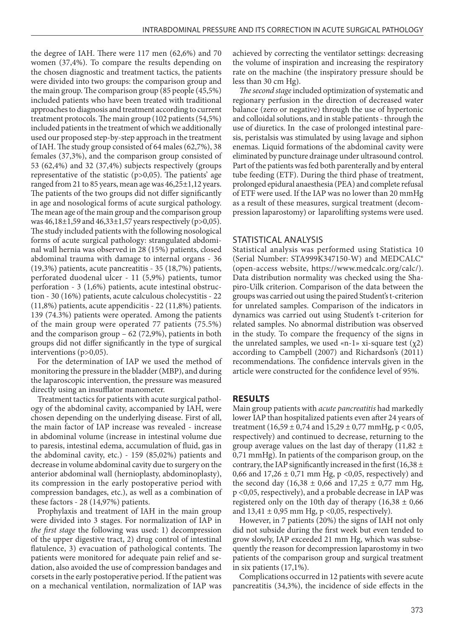the degree of IAH. There were 117 men (62,6%) and 70 women (37,4%). To compare the results depending on the chosen diagnostic and treatment tactics, the patients were divided into two groups: the comparison group and the main group. The comparison group (85 people (45,5%) included patients who have been treated with traditional approaches to diagnosis and treatment according to current treatment protocols. The main group (102 patients (54,5%) included patients in the treatment of which we additionally used our proposed step-by-step approach in the treatment of IAH. The study group consisted of 64 males (62,7%), 38 females (37,3%), and the comparison group consisted of 53 (62,4%) and 32 (37,4%) subjects respectively (groups representative of the statistic (p>0,05). The patients' age ranged from 21 to 85 years, mean age was 46,25±1,12 years. The patients of the two groups did not differ significantly in age and nosological forms of acute surgical pathology. The mean age of the main group and the comparison group was 46,18±1,59 and 46,33±1,57 years respectively (p>0,05). The study included patients with the following nosological forms of acute surgical pathology: strangulated abdominal wall hernia was observed in 28 (15%) patients, closed abdominal trauma with damage to internal organs - 36 (19,3%) patients, acute pancreatitis - 35 (18,7%) patients, perforated duodenal ulcer - 11 (5,9%) patients, tumor perforation - 3 (1,6%) patients, acute intestinal obstruction - 30 (16%) patients, acute calculous cholecystitis - 22 (11,8%) patients, acute appendicitis - 22 (11,8%) patients. 139 (74.3%) patients were operated. Among the patients of the main group were operated 77 patients (75.5%) and the comparison group – 62 (72,9%), patients in both groups did not differ significantly in the type of surgical interventions (p>0,05).

For the determination of IAP we used the method of monitoring the pressure in the bladder (MBP), and during the laparoscopic intervention, the pressure was measured directly using an insufflator manometer.

Treatment tactics for patients with acute surgical pathology of the abdominal cavity, accompanied by IAH, were chosen depending on the underlying disease. First of all, the main factor of IAP increase was revealed - increase in abdominal volume (increase in intestinal volume due to paresis, intestinal edema, accumulation of fluid, gas in the abdominal cavity, etc.) - 159 (85,02%) patients and decrease in volume abdominal cavity due to surgery on the anterior abdominal wall (hernioplasty, abdominoplasty), its compression in the early postoperative period with compression bandages, etc.), as well as a combination of these factors - 28 (14,97%) patients.

Prophylaxis and treatment of IAH in the main group were divided into 3 stages. For normalization of IAP in *the first stage* the following was used: 1) decompression of the upper digestive tract, 2) drug control of intestinal flatulence, 3) evacuation of pathological contents. The patients were monitored for adequate pain relief and sedation, also avoided the use of compression bandages and corsets in the early postoperative period. If the patient was on a mechanical ventilation, normalization of IAP was achieved by correcting the ventilator settings: decreasing the volume of inspiration and increasing the respiratory rate on the machine (the inspiratory pressure should be less than 30 cm Hg).

*The second stage* included optimization of systematic and regionary perfusion in the direction of decreased water balance (zero or negative) through the use of hypertonic and colloidal solutions, and in stable patients - through the use of diuretics. In the case of prolonged intestinal paresis, peristalsis was stimulated by using lavage and siphon enemas. Liquid formations of the abdominal cavity were eliminated by puncture drainage under ultrasound control. Part of the patients was fed both parenterally and by enteral tube feeding (ETF). During the third phase of treatment, prolonged epidural anaesthesia (PEA) and complete refusal of ETF were used. If the IAP was no lower than 20 mmHg as a result of these measures, surgical treatment (decompression laparostomy) or laparolifting systems were used.

#### STATISTICAL ANALYSIS

Statistical analysis was performed using Statistica 10 (Serial Number: STA999K347150-W) and MEDCALC® (open-access website, https://www.medcalc.org/calc/). Data distribution normality was checked using the Shapiro-Uilk criterion. Comparison of the data between the groups was carried out using the paired Student's t-criterion for unrelated samples. Comparison of the indicators in dynamics was carried out using Student's t-criterion for related samples. No abnormal distribution was observed in the study. To compare the frequency of the signs in the unrelated samples, we used «n-1» xi-square test  $(\chi_2)$ according to Campbell (2007) and Richardson's (2011) recommendations. The confidence intervals given in the article were constructed for the confidence level of 95%.

#### **RESULTS**

Main group patients with *acute pancreatitis* had markedly lower IAP than hospitalized patients even after 24 years of treatment (16,59 ± 0,74 and 15,29 ± 0,77 mmHg, p < 0,05, respectively) and continued to decrease, returning to the group average values on the last day of therapy  $(11,82 \pm 1)$ 0,71 mmHg). In patients of the comparison group, on the contrary, the IAP significantly increased in the first (16,38  $\pm$ 0,66 and 17,26  $\pm$  0,71 mm Hg, p <0,05, respectively) and the second day  $(16,38 \pm 0,66 \text{ and } 17,25 \pm 0,77 \text{ mm Hg})$ , p <0,05, respectively), and a probable decrease in IAP was registered only on the 10th day of therapy  $(16,38 \pm 0,66)$ and  $13,41 \pm 0,95$  mm Hg, p <0,05, respectively).

However, in 7 patients (20%) the signs of IAH not only did not subside during the first week but even tended to grow slowly, IAP exceeded 21 mm Hg, which was subsequently the reason for decompression laparostomy in two patients of the comparison group and surgical treatment in six patients (17,1%).

Complications occurred in 12 patients with severe acute pancreatitis (34,3%), the incidence of side effects in the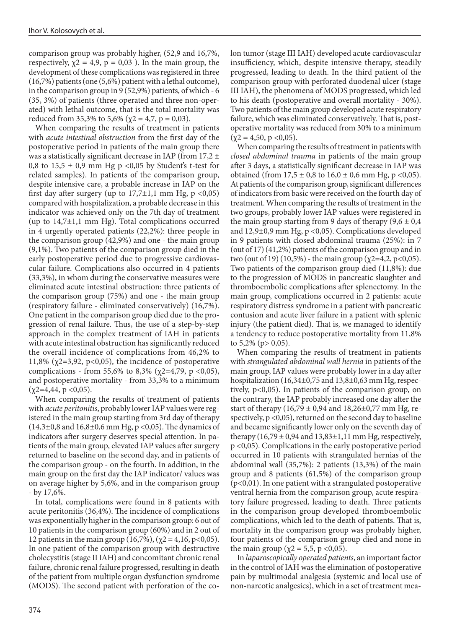comparison group was probably higher, (52,9 and 16,7%, respectively,  $\chi$ 2 = 4,9, p = 0,03). In the main group, the development of these complications was registered in three (16,7%) patients (one (5,6%) patient with a lethal outcome), in the comparison group in 9 (52,9%) patients, of which - 6 (35, 3%) of patients (three operated and three non-operated) with lethal outcome, that is the total mortality was reduced from 35,3% to 5,6% ( $\chi$ 2 = 4,7, p = 0,03).

When comparing the results of treatment in patients with *acute intestinal obstruction* from the first day of the postoperative period in patients of the main group there was a statistically significant decrease in IAP (from  $17,2 \pm$ 0,8 to  $15.5 \pm 0.9$  mm Hg p <0.05 by Student's t-test for related samples). In patients of the comparison group, despite intensive care, a probable increase in IAP on the first day after surgery (up to  $17,7\pm1,1$  mm Hg, p <0,05) compared with hospitalization, a probable decrease in this indicator was achieved only on the 7th day of treatment (up to  $14,7\pm1,1$  mm Hg). Total complications occurred in 4 urgently operated patients (22,2%): three people in the comparison group (42,9%) and one - the main group (9,1%). Two patients of the comparison group died in the early postoperative period due to progressive cardiovascular failure. Complications also occurred in 4 patients (33,3%), in whom during the conservative measures were eliminated acute intestinal obstruction: three patients of the comparison group (75%) and one - the main group (respiratory failure - eliminated conservatively) (16,7%). One patient in the comparison group died due to the progression of renal failure. Thus, the use of a step-by-step approach in the complex treatment of IAH in patients with acute intestinal obstruction has significantly reduced the overall incidence of complications from 46,2% to 11,8% ( $\chi$ 2=3,92, p<0,05), the incidence of postoperative complications - from 55,6% to 8,3% ( $χ2=4,79$ , p <0,05), and postoperative mortality - from 33,3% to a minimum  $(\chi2=4,44, p < 0,05)$ .

When comparing the results of treatment of patients with *acute peritonitis*, probably lower IAP values were registered in the main group starting from 3rd day of therapy  $(14,3\pm0,8 \text{ and } 16,8\pm0,6 \text{ mm Hg}, p < 0,05)$ . The dynamics of indicators after surgery deserves special attention. In patients of the main group, elevated IAP values after surgery returned to baseline on the second day, and in patients of the comparison group - on the fourth. In addition, in the main group on the first day the IAP indicator/ values was on average higher by 5,6%, and in the comparison group - by 17,6%.

In total, complications were found in 8 patients with acute peritonitis (36,4%). The incidence of complications was exponentially higher in the comparison group: 6 out of 10 patients in the comparison group (60%) and in 2 out of 12 patients in the main group (16,7%), ( $\chi$ 2 = 4,16, p<0,05). In one patient of the comparison group with destructive cholecystitis (stage II IAH) and concomitant chronic renal failure, chronic renal failure progressed, resulting in death of the patient from multiple organ dysfunction syndrome (MODS). The second patient with perforation of the colon tumor (stage III IAH) developed acute cardiovascular insufficiency, which, despite intensive therapy, steadily progressed, leading to death. In the third patient of the comparison group with perforated duodenal ulcer (stage III IAH), the phenomena of MODS progressed, which led to his death (postoperative and overall mortality - 30%). Two patients of the main group developed acute respiratory failure, which was eliminated conservatively. That is, postoperative mortality was reduced from 30% to a minimum  $(\chi 2 = 4, 50, \, \text{p} < 0, 05).$ 

When comparing the results of treatment in patients with *closed abdominal trauma* in patients of the main group after 3 days, a statistically significant decrease in IAP was obtained (from  $17.5 \pm 0.8$  to  $16.0 \pm 0.6$  mm Hg, p <0.05). At patients of the comparison group, significant differences of indicators from basic were received on the fourth day of treatment. When comparing the results of treatment in the two groups, probably lower IAP values were registered in the main group starting from 9 days of therapy  $(9.6 \pm 0.4)$ and 12,9±0,9 mm Hg, p <0,05). Complications developed in 9 patients with closed abdominal trauma (25%): in 7 (out of 17) (41,2%) patients of the comparison group and in two (out of 19) (10,5%) - the main group ( $\chi$ 2=4,2, p<0,05). Two patients of the comparison group died (11,8%): due to the progression of MODS in pancreatic slaughter and thromboembolic complications after splenectomy. In the main group, complications occurred in 2 patients: acute respiratory distress syndrome in a patient with pancreatic contusion and acute liver failure in a patient with splenic injury (the patient died). That is, we managed to identify a tendency to reduce postoperative mortality from 11,8% to  $5,2\%$  (p > 0,05).

When comparing the results of treatment in patients with *strangulated abdominal wall hernia* in patients of the main group, IAP values were probably lower in a day after hospitalization (16,34±0,75 and 13,8±0,63 mm Hg, respectively, p<0,05). In patients of the comparison group, on the contrary, the IAP probably increased one day after the start of therapy  $(16,79 \pm 0,94 \text{ and } 18,26 \pm 0,77 \text{ mm Hg, re-}$ spectively, p <0,05), returned on the second day to baseline and became significantly lower only on the seventh day of therapy  $(16,79 \pm 0,94 \text{ and } 13,83 \pm 1,11 \text{ mm Hg},$  respectively, p <0,05). Complications in the early postoperative period occurred in 10 patients with strangulated hernias of the abdominal wall (35,7%): 2 patients (13,3%) of the main group and 8 patients (61,5%) of the comparison group (p<0,01). In one patient with a strangulated postoperative ventral hernia from the comparison group, acute respiratory failure progressed, leading to death. Three patients in the comparison group developed thromboembolic complications, which led to the death of patients. That is, mortality in the comparison group was probably higher, four patients of the comparison group died and none in the main group ( $χ$ 2 = 5,5, p <0,05).

In *laparoscopically operated patients*, an important factor in the control of IAH was the elimination of postoperative pain by multimodal analgesia (systemic and local use of non-narcotic analgesics), which in a set of treatment mea-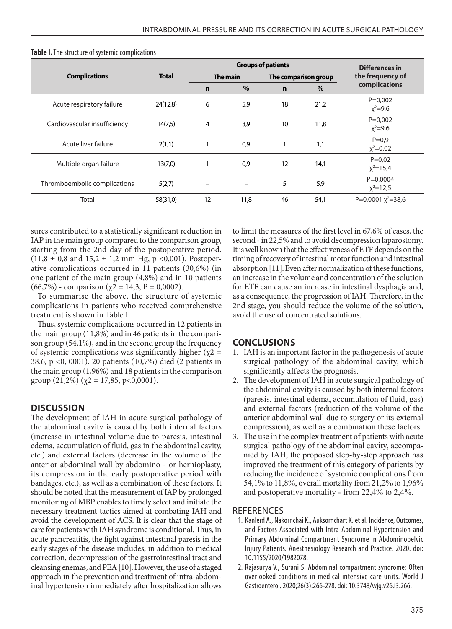| <b>Complications</b>         | <b>Total</b> | <b>Groups of patients</b> |      |                      |      | Differences in               |
|------------------------------|--------------|---------------------------|------|----------------------|------|------------------------------|
|                              |              | The main                  |      | The comparison group |      | the frequency of             |
|                              |              | n                         | $\%$ | $\mathbf n$          | $\%$ | complications                |
| Acute respiratory failure    | 24(12,8)     | 6                         | 5,9  | 18                   | 21,2 | $P=0,002$<br>$x^2 = 9,6$     |
| Cardiovascular insufficiency | 14(7,5)      | 4                         | 3,9  | 10                   | 11,8 | $P=0,002$<br>$x^2 = 9,6$     |
| Acute liver failure          | 2(1,1)       |                           | 0,9  |                      | 1,1  | $P = 0.9$<br>$x^2 = 0.02$    |
| Multiple organ failure       | 13(7,0)      |                           | 0,9  | 12                   | 14,1 | $P = 0.02$<br>$x^2 = 15,4$   |
| Thromboembolic complications | 5(2,7)       |                           |      | 5                    | 5,9  | $P = 0.0004$<br>$x^2 = 12,5$ |
| Total                        | 58(31,0)     | 12                        | 11,8 | 46                   | 54,1 | P=0,0001 $x^2$ =38,6         |

#### **Table I.** The structure of systemic complications

sures contributed to a statistically significant reduction in IAP in the main group compared to the comparison group, starting from the 2nd day of the postoperative period.  $(11,8 \pm 0.8 \text{ and } 15,2 \pm 1.2 \text{ mm Hg}, p < 0.001)$ . Postoperative complications occurred in 11 patients (30,6%) (in one patient of the main group (4,8%) and in 10 patients (66,7%) - comparison ( $\chi$ 2 = 14,3, P = 0,0002).

To summarise the above, the structure of systemic complications in patients who received comprehensive treatment is shown in Table I.

Thus, systemic complications occurred in 12 patients in the main group (11,8%) and in 46 patients in the comparison group (54,1%), and in the second group the frequency of systemic complications was significantly higher ( $\chi$ 2 = 38.6, p <0, 0001). 20 patients (10,7%) died (2 patients in the main group (1,96%) and 18 patients in the comparison group  $(21,2\%)$   $(\chi2 = 17,85, \text{ p} < 0,0001)$ .

#### **DISCUSSION**

The development of IAH in acute surgical pathology of the abdominal cavity is caused by both internal factors (increase in intestinal volume due to paresis, intestinal edema, accumulation of fluid, gas in the abdominal cavity, etc.) and external factors (decrease in the volume of the anterior abdominal wall by abdomino - or hernioplasty, its compression in the early postoperative period with bandages, etc.), as well as a combination of these factors. It should be noted that the measurement of IAP by prolonged monitoring of MBP enables to timely select and initiate the necessary treatment tactics aimed at combating IAH and avoid the development of ACS. It is clear that the stage of care for patients with IAH syndrome is conditional. Thus, in acute pancreatitis, the fight against intestinal paresis in the early stages of the disease includes, in addition to medical correction, decompression of the gastrointestinal tract and cleansing enemas, and PEA [10]. However, the use of a staged approach in the prevention and treatment of intra-abdominal hypertension immediately after hospitalization allows to limit the measures of the first level in 67,6% of cases, the second - in 22,5% and to avoid decompression laparostomy. It is well known that the effectiveness of ETF depends on the timing of recovery of intestinal motor function and intestinal absorption [11]. Even after normalization of these functions, an increase in the volume and concentration of the solution for ETF can cause an increase in intestinal dysphagia and, as a consequence, the progression of IAH. Therefore, in the 2nd stage, you should reduce the volume of the solution, avoid the use of concentrated solutions.

### **CONCLUSIONS**

- 1. IAH is an important factor in the pathogenesis of acute surgical pathology of the abdominal cavity, which significantly affects the prognosis.
- 2. The development of IAH in acute surgical pathology of the abdominal cavity is caused by both internal factors (paresis, intestinal edema, accumulation of fluid, gas) and external factors (reduction of the volume of the anterior abdominal wall due to surgery or its external compression), as well as a combination these factors.
- 3. The use in the complex treatment of patients with acute surgical pathology of the abdominal cavity, accompanied by IAH, the proposed step-by-step approach has improved the treatment of this category of patients by reducing the incidence of systemic complications from 54,1% to 11,8%, overall mortality from 21,2% to 1,96% and postoperative mortality - from 22,4% to 2,4%.

#### **REFERENCES**

- 1. Kanlerd A., Nakornchai K., Auksornchart K. et al. Incidence, Outcomes, and Factors Associated with Intra-Abdominal Hypertension and Primary Abdominal Compartment Syndrome in Abdominopelvic Injury Patients. Anesthesiology Research and Practice. 2020. doi: 10.1155/2020/1982078.
- 2. Rajasurya V., Surani S. Abdominal compartment syndrome: Often overlooked conditions in medical intensive care units. World J Gastroenterol. 2020;26(3):266-278. doi: 10.3748/wjg.v26.i3.266.